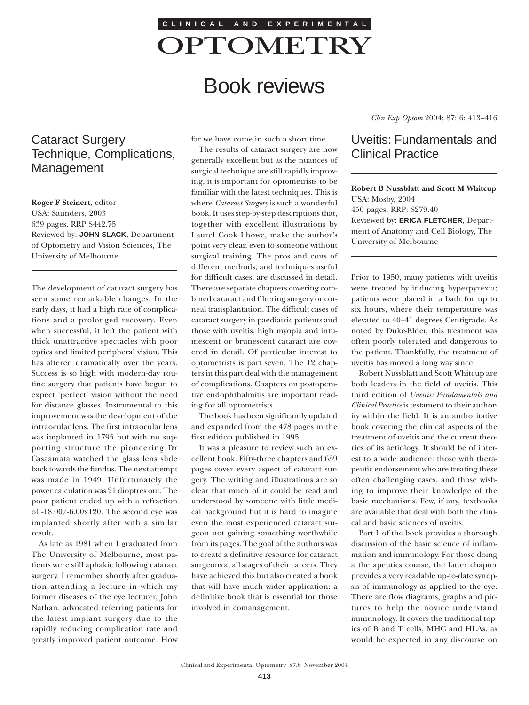

# Book reviews

# Cataract Surgery Technique, Complications, Management

**Roger F Steinert**, editor USA: Saunders, 2003 639 pages, RRP \$442.75 Reviewed by: **JOHN SLACK**, Department of Optometry and Vision Sciences, The University of Melbourne

The development of cataract surgery has seen some remarkable changes. In the early days, it had a high rate of complications and a prolonged recovery. Even when successful, it left the patient with thick unattractive spectacles with poor optics and limited peripheral vision. This has altered dramatically over the years. Success is so high with modern-day routine surgery that patients have begun to expect 'perfect' vision without the need for distance glasses. Instrumental to this improvement was the development of the intraocular lens. The first intraocular lens was implanted in 1795 but with no supporting structure the pioneering Dr Casaamata watched the glass lens slide back towards the fundus. The next attempt was made in 1949. Unfortunately the power calculation was 21 dioptres out. The poor patient ended up with a refraction of -18.00/-6.00x120. The second eye was implanted shortly after with a similar result.

As late as 1981 when I graduated from The University of Melbourne, most patients were still aphakic following cataract surgery. I remember shortly after graduation attending a lecture in which my former diseases of the eye lecturer, John Nathan, advocated referring patients for the latest implant surgery due to the rapidly reducing complication rate and greatly improved patient outcome. How far we have come in such a short time.

The results of cataract surgery are now generally excellent but as the nuances of surgical technique are still rapidly improving, it is important for optometrists to be familiar with the latest techniques. This is where *Cataract Surgery* is such a wonderful book. It uses step-by-step descriptions that, together with excellent illustrations by Laurel Cook Lhowe, make the author's point very clear, even to someone without surgical training. The pros and cons of different methods, and techniques useful for difficult cases, are discussed in detail. There are separate chapters covering combined cataract and filtering surgery or corneal transplantation. The difficult cases of cataract surgery in paediatric patients and those with uveitis, high myopia and intumescent or brunescent cataract are covered in detail. Of particular interest to optometrists is part seven. The 12 chapters in this part deal with the management of complications. Chapters on postoperative endophthalmitis are important reading for all optometrists.

The book has been significantly updated and expanded from the 478 pages in the first edition published in 1995.

It was a pleasure to review such an excellent book. Fifty-three chapters and 639 pages cover every aspect of cataract surgery. The writing and illustrations are so clear that much of it could be read and understood by someone with little medical background but it is hard to imagine even the most experienced cataract surgeon not gaining something worthwhile from its pages. The goal of the authors was to create a definitive resource for cataract surgeons at all stages of their careers. They have achieved this but also created a book that will have much wider application: a definitive book that is essential for those involved in comanagement.

*Clin Exp Optom* 2004; 87: 6: 413–416

## Uveitis: Fundamentals and Clinical Practice

**Robert B Nussblatt and Scott M Whitcup** USA: Mosby, 2004 450 pages, RRP: \$279.40 Reviewed by: **ERICA FLETCHER**, Department of Anatomy and Cell Biology, The University of Melbourne

Prior to 1950, many patients with uveitis were treated by inducing hyperpyrexia; patients were placed in a bath for up to six hours, where their temperature was elevated to 40–41 degrees Centigrade. As noted by Duke-Elder, this treatment was often poorly tolerated and dangerous to the patient. Thankfully, the treatment of uveitis has moved a long way since.

Robert Nussblatt and Scott Whitcup are both leaders in the field of uveitis. This third edition of *Uveitis: Fundamentals and Clinical Practice* is testament to their authority within the field. It is an authoritative book covering the clinical aspects of the treatment of uveitis and the current theories of its aetiology. It should be of interest to a wide audience: those with therapeutic endorsement who are treating these often challenging cases, and those wishing to improve their knowledge of the basic mechanisms. Few, if any, textbooks are available that deal with both the clinical and basic sciences of uveitis.

Part 1 of the book provides a thorough discussion of the basic science of inflammation and immunology. For those doing a therapeutics course, the latter chapter provides a very readable up-to-date synopsis of immunology as applied to the eye. There are flow diagrams, graphs and pictures to help the novice understand immunology. It covers the traditional topics of B and T cells, MHC and HLAs, as would be expected in any discourse on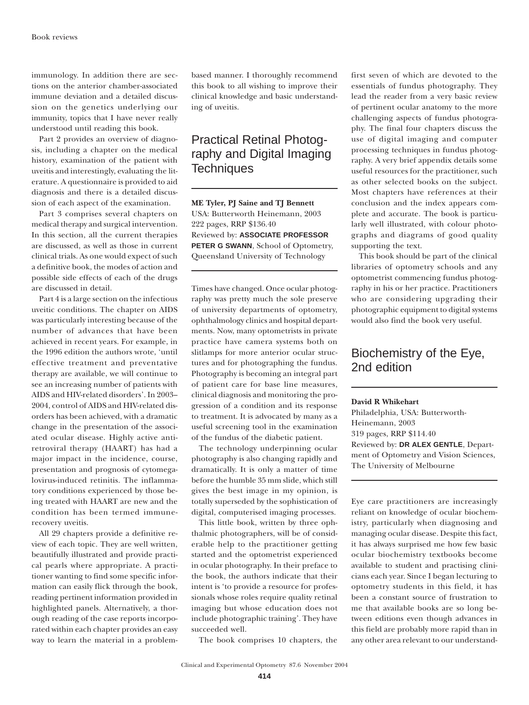immunology. In addition there are sections on the anterior chamber-associated immune deviation and a detailed discussion on the genetics underlying our immunity, topics that I have never really understood until reading this book.

Part 2 provides an overview of diagnosis, including a chapter on the medical history, examination of the patient with uveitis and interestingly, evaluating the literature. A questionnaire is provided to aid diagnosis and there is a detailed discussion of each aspect of the examination.

Part 3 comprises several chapters on medical therapy and surgical intervention. In this section, all the current therapies are discussed, as well as those in current clinical trials. As one would expect of such a definitive book, the modes of action and possible side effects of each of the drugs are discussed in detail.

Part 4 is a large section on the infectious uveitic conditions. The chapter on AIDS was particularly interesting because of the number of advances that have been achieved in recent years. For example, in the 1996 edition the authors wrote, 'until effective treatment and preventative therapy are available, we will continue to see an increasing number of patients with AIDS and HIV-related disorders'. In 2003– 2004, control of AIDS and HIV-related disorders has been achieved, with a dramatic change in the presentation of the associated ocular disease. Highly active antiretroviral therapy (HAART) has had a major impact in the incidence, course, presentation and prognosis of cytomegalovirus-induced retinitis. The inflammatory conditions experienced by those being treated with HAART are new and the condition has been termed immunerecovery uveitis.

All 29 chapters provide a definitive review of each topic. They are well written, beautifully illustrated and provide practical pearls where appropriate. A practitioner wanting to find some specific information can easily flick through the book, reading pertinent information provided in highlighted panels. Alternatively, a thorough reading of the case reports incorporated within each chapter provides an easy way to learn the material in a problembased manner. I thoroughly recommend this book to all wishing to improve their clinical knowledge and basic understanding of uveitis.

## Practical Retinal Photography and Digital Imaging **Techniques**

**ME Tyler, PJ Saine and TJ Bennett** USA: Butterworth Heinemann, 2003 222 pages, RRP \$136.40 Reviewed by: **ASSOCIATE PROFESSOR PETER G SWANN**, School of Optometry, Queensland University of Technology

Times have changed. Once ocular photography was pretty much the sole preserve of university departments of optometry, ophthalmology clinics and hospital departments. Now, many optometrists in private practice have camera systems both on slitlamps for more anterior ocular structures and for photographing the fundus. Photography is becoming an integral part of patient care for base line measures, clinical diagnosis and monitoring the progression of a condition and its response to treatment. It is advocated by many as a useful screening tool in the examination of the fundus of the diabetic patient.

The technology underpinning ocular photography is also changing rapidly and dramatically. It is only a matter of time before the humble 35 mm slide, which still gives the best image in my opinion, is totally superseded by the sophistication of digital, computerised imaging processes.

This little book, written by three ophthalmic photographers, will be of considerable help to the practitioner getting started and the optometrist experienced in ocular photography. In their preface to the book, the authors indicate that their intent is 'to provide a resource for professionals whose roles require quality retinal imaging but whose education does not include photographic training'. They have succeeded well.

The book comprises 10 chapters, the

first seven of which are devoted to the essentials of fundus photography. They lead the reader from a very basic review of pertinent ocular anatomy to the more challenging aspects of fundus photography. The final four chapters discuss the use of digital imaging and computer processing techniques in fundus photography. A very brief appendix details some useful resources for the practitioner, such as other selected books on the subject. Most chapters have references at their conclusion and the index appears complete and accurate. The book is particularly well illustrated, with colour photographs and diagrams of good quality supporting the text.

This book should be part of the clinical libraries of optometry schools and any optometrist commencing fundus photography in his or her practice. Practitioners who are considering upgrading their photographic equipment to digital systems would also find the book very useful.

### Biochemistry of the Eye, 2nd edition

#### **David R Whikehart**

Philadelphia, USA: Butterworth-Heinemann, 2003 319 pages, RRP \$114.40 Reviewed by: **DR ALEX GENTLE**, Department of Optometry and Vision Sciences, The University of Melbourne

Eye care practitioners are increasingly reliant on knowledge of ocular biochemistry, particularly when diagnosing and managing ocular disease. Despite this fact, it has always surprised me how few basic ocular biochemistry textbooks become available to student and practising clinicians each year. Since I began lecturing to optometry students in this field, it has been a constant source of frustration to me that available books are so long between editions even though advances in this field are probably more rapid than in any other area relevant to our understand-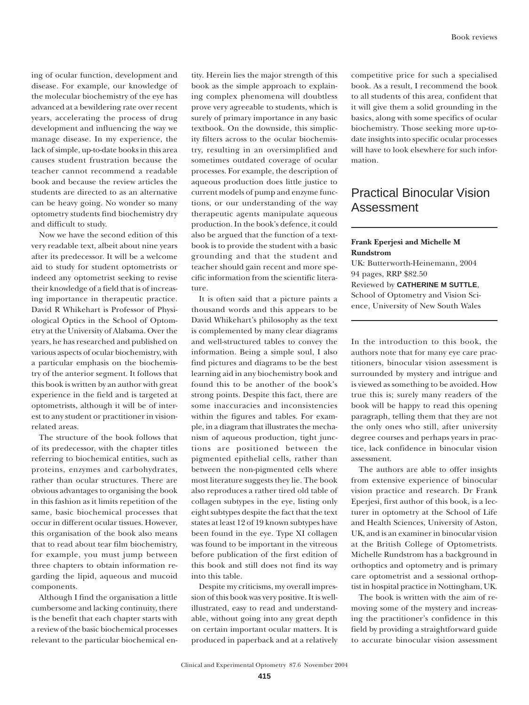ing of ocular function, development and disease. For example, our knowledge of the molecular biochemistry of the eye has advanced at a bewildering rate over recent years, accelerating the process of drug development and influencing the way we manage disease. In my experience, the lack of simple, up-to-date books in this area causes student frustration because the teacher cannot recommend a readable book and because the review articles the students are directed to as an alternative can be heavy going. No wonder so many optometry students find biochemistry dry and difficult to study.

Now we have the second edition of this very readable text, albeit about nine years after its predecessor. It will be a welcome aid to study for student optometrists or indeed any optometrist seeking to revise their knowledge of a field that is of increasing importance in therapeutic practice. David R Whikehart is Professor of Physiological Optics in the School of Optometry at the University of Alabama. Over the years, he has researched and published on various aspects of ocular biochemistry, with a particular emphasis on the biochemistry of the anterior segment. It follows that this book is written by an author with great experience in the field and is targeted at optometrists, although it will be of interest to any student or practitioner in visionrelated areas.

The structure of the book follows that of its predecessor, with the chapter titles referring to biochemical entities, such as proteins, enzymes and carbohydrates, rather than ocular structures. There are obvious advantages to organising the book in this fashion as it limits repetition of the same, basic biochemical processes that occur in different ocular tissues. However, this organisation of the book also means that to read about tear film biochemistry, for example, you must jump between three chapters to obtain information regarding the lipid, aqueous and mucoid components.

Although I find the organisation a little cumbersome and lacking continuity, there is the benefit that each chapter starts with a review of the basic biochemical processes relevant to the particular biochemical entity. Herein lies the major strength of this book as the simple approach to explaining complex phenomena will doubtless prove very agreeable to students, which is surely of primary importance in any basic textbook. On the downside, this simplicity filters across to the ocular biochemistry, resulting in an oversimplified and sometimes outdated coverage of ocular processes. For example, the description of aqueous production does little justice to current models of pump and enzyme functions, or our understanding of the way therapeutic agents manipulate aqueous production. In the book's defence, it could also be argued that the function of a textbook is to provide the student with a basic grounding and that the student and teacher should gain recent and more specific information from the scientific literature.

It is often said that a picture paints a thousand words and this appears to be David Whikehart's philosophy as the text is complemented by many clear diagrams and well-structured tables to convey the information. Being a simple soul, I also find pictures and diagrams to be the best learning aid in any biochemistry book and found this to be another of the book's strong points. Despite this fact, there are some inaccuracies and inconsistencies within the figures and tables. For example, in a diagram that illustrates the mechanism of aqueous production, tight junctions are positioned between the pigmented epithelial cells, rather than between the non-pigmented cells where most literature suggests they lie. The book also reproduces a rather tired old table of collagen subtypes in the eye, listing only eight subtypes despite the fact that the text states at least 12 of 19 known subtypes have been found in the eye. Type XI collagen was found to be important in the vitreous before publication of the first edition of this book and still does not find its way into this table.

Despite my criticisms, my overall impression of this book was very positive. It is wellillustrated, easy to read and understandable, without going into any great depth on certain important ocular matters. It is produced in paperback and at a relatively competitive price for such a specialised book. As a result, I recommend the book to all students of this area, confident that it will give them a solid grounding in the basics, along with some specifics of ocular biochemistry. Those seeking more up-todate insights into specific ocular processes will have to look elsewhere for such information.

### Practical Binocular Vision Assessment

**Frank Eperjesi and Michelle M Rundstrom** UK: Butterworth-Heinemann, 2004 94 pages, RRP \$82.50 Reviewed by **CATHERINE M SUTTLE**, School of Optometry and Vision Science, University of New South Wales

In the introduction to this book, the authors note that for many eye care practitioners, binocular vision assessment is surrounded by mystery and intrigue and is viewed as something to be avoided. How true this is; surely many readers of the book will be happy to read this opening paragraph, telling them that they are not the only ones who still, after university degree courses and perhaps years in practice, lack confidence in binocular vision assessment.

The authors are able to offer insights from extensive experience of binocular vision practice and research. Dr Frank Eperjesi, first author of this book, is a lecturer in optometry at the School of Life and Health Sciences, University of Aston, UK, and is an examiner in binocular vision at the British College of Optometrists. Michelle Rundstrom has a background in orthoptics and optometry and is primary care optometrist and a sessional orthoptist in hospital practice in Nottingham, UK.

The book is written with the aim of removing some of the mystery and increasing the practitioner's confidence in this field by providing a straightforward guide to accurate binocular vision assessment